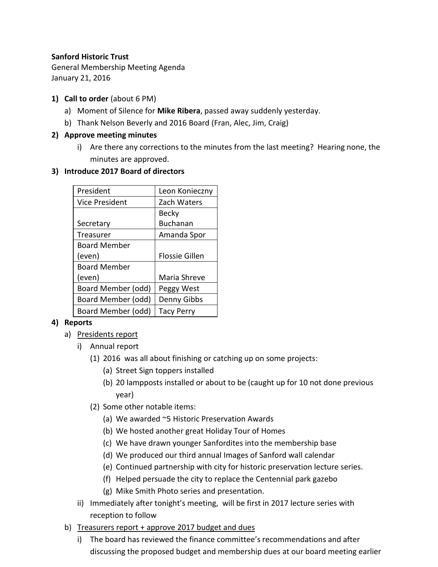#### **Sanford Historic Trust**

General Membership Meeting Agenda January 21, 2016

- **1) Call to order** (about 6 PM)
	- a) Moment of Silence for **Mike Ribera**, passed away suddenly yesterday.
	- b) Thank Nelson Beverly and 2016 Board (Fran, Alec, Jim, Craig)
- **2) Approve meeting minutes**
	- i) Are there any corrections to the minutes from the last meeting? Hearing none, the minutes are approved.

### **3) Introduce 2017 Board of directors**

| President           | Leon Konieczny        |
|---------------------|-----------------------|
| Vice President      | Zach Waters           |
|                     | <b>Becky</b>          |
| Secretary           | <b>Buchanan</b>       |
| Treasurer           | Amanda Spor           |
| <b>Board Member</b> |                       |
| (even)              | <b>Flossie Gillen</b> |
| <b>Board Member</b> |                       |
| (even)              | Maria Shreve          |
| Board Member (odd)  | Peggy West            |
| Board Member (odd)  | Denny Gibbs           |
| Board Member (odd)  | Tacy Perry            |

## **4) Reports**

- a) Presidents report
	- i) Annual report
		- (1) 2016 was all about finishing or catching up on some projects:
			- (a) Street Sign toppers installed
			- (b) 20 lampposts installed or about to be (caught up for 10 not done previous year)
		- (2) Some other notable items:
			- (a) We awarded ~5 Historic Preservation Awards
			- (b) We hosted another great Holiday Tour of Homes
			- (c) We have drawn younger Sanfordites into the membership base
			- (d) We produced our third annual Images of Sanford wall calendar
			- (e) Continued partnership with city for historic preservation lecture series.
			- (f) Helped persuade the city to replace the Centennial park gazebo
			- (g) Mike Smith Photo series and presentation.
	- ii) Immediately after tonight's meeting, will be first in 2017 lecture series with reception to follow
- b) Treasurers report + approve 2017 budget and dues
	- i) The board has reviewed the finance committee's recommendations and after discussing the proposed budget and membership dues at our board meeting earlier